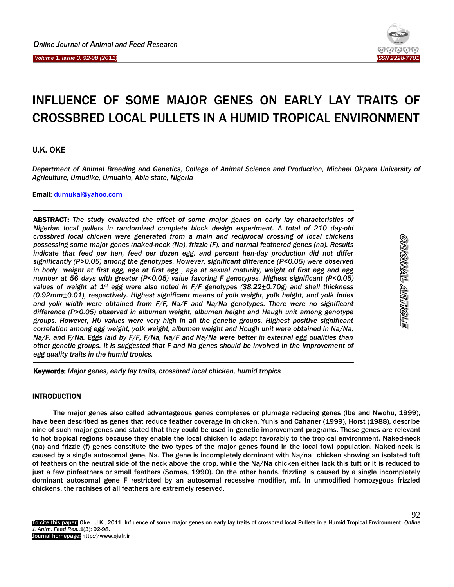*Volume 1, Issue 3: 92-98 (2011)* Ï



<u>etionisty tivinoisio</u>

92

# INFLUENCE OF SOME MAJOR GENES ON EARLY LAY TRAITS OF CROSSBRED LOCAL PULLETS IN A HUMID TROPICAL ENVIRONMENT

U.K. OKE

*Department of Animal Breeding and Genetics, College of Animal Science and Production, Michael Okpara University of Agriculture, Umudike, Umuahia, Abia state, Nigeria*

Email: [dumukal@yahoo.com](mailto:dumukal@yahoo.com)

ABSTRACT: *The study evaluated the effect of some major genes on early lay characteristics of Nigerian local pullets in randomized complete block design experiment. A total of 210 day-old crossbred local chicken were generated from a main and reciprocal crossing of local chickens possessing some major genes (naked-neck (Na), frizzle (F), and normal feathered genes (na). Results indicate that feed per hen, feed per dozen egg, and percent hen-day production did not differ significantly (P>0.05) among the genotypes. However, significant difference (P<0.05) were observed in body weight at first egg, age at first egg , age at sexual maturity, weight of first egg and egg number at 56 days with greater (P<0.05) value favoring F genotypes. Highest significant (P<0.05) values of weight at 1st egg were also noted in F/F genotypes (38.22±0.70g) and shell thickness (0.92mm±0.01), respectively. Highest significant means of yolk weight, yolk height, and yolk index and yolk width were obtained from F/F, Na/F and Na/Na genotypes. There were no significant difference (P>0.05) observed in albumen weight, albumen height and Haugh unit among genotype groups. However, HU values were very high in all the genetic groups. Highest positive significant correlation among egg weight, yolk weight, albumen weight and Hough unit were obtained in Na/Na, Na/F, and F/Na. Eggs laid by F/F, F/Na, Na/F and Na/Na were better in external egg qualities than other genetic groups. It is suggested that F and Na genes should be involved in the improvement of egg quality traits in the humid tropics.*

Keywords: *Major genes, early lay traits, crossbred local chicken, humid tropics*

## INTRODUCTION

The major genes also called advantageous genes complexes or plumage reducing genes (Ibe and Nwohu, 1999), have been described as genes that reduce feather coverage in chicken. Yunis and Cahaner (1999), Horst (1988), describe nine of such major genes and stated that they could be used in genetic improvement programs. These genes are relevant to hot tropical regions because they enable the local chicken to adapt favorably to the tropical environment. Naked-neck (na) and frizzle (f) genes constitute the two types of the major genes found in the local fowl population. Naked-neck is caused by a single autosomal gene, Na. The gene is incompletely dominant with Na/na+ chicken showing an isolated tuft of feathers on the neutral side of the neck above the crop, while the Na/Na chicken either lack this tuft or it is reduced to just a few pinfeathers or small feathers (Somas, 1990). On the other hands, frizzling is caused by a single incompletely dominant autosomal gene F restricted by an autosomal recessive modifier, mf. In unmodified homozygous frizzled chickens, the rachises of all feathers are extremely reserved.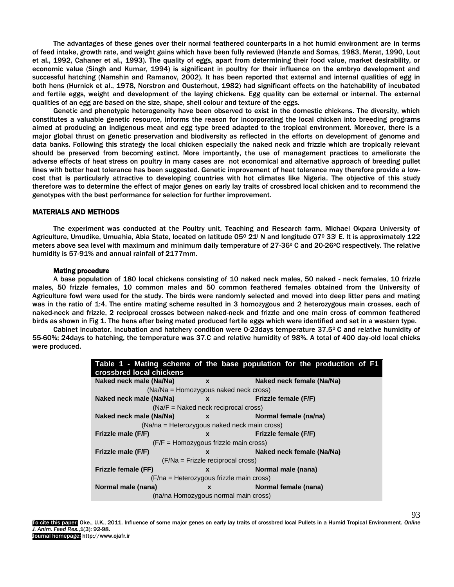The advantages of these genes over their normal feathered counterparts in a hot humid environment are in terms of feed intake, growth rate, and weight gains which have been fully reviewed (Hanzle and Somas, 1983, Merat, 1990, Lout et al., 1992, Cahaner et al., 1993). The quality of eggs, apart from determining their food value, market desirability, or economic value (Singh and Kumar, 1994) is significant in poultry for their influence on the embryo development and successful hatching (Namshin and Ramanov, 2002). It has been reported that external and internal qualities of egg in both hens (Hurnick et al., 1978, Norstron and Ousterhout, 1982) had significant effects on the hatchability of incubated and fertile eggs, weight and development of the laying chickens. Egg quality can be external or internal. The external qualities of an egg are based on the size, shape, shell colour and texture of the eggs.

Genetic and phenotypic heterogeneity have been observed to exist in the domestic chickens. The diversity, which constitutes a valuable genetic resource, informs the reason for incorporating the local chicken into breeding programs aimed at producing an indigenous meat and egg type breed adapted to the tropical environment. Moreover, there is a major global thrust on genetic preservation and biodiversity as reflected in the efforts on development of genome and data banks. Following this strategy the local chicken especially the naked neck and frizzle which are tropically relevant should be preserved from becoming extinct. More importantly, the use of management practices to ameliorate the adverse effects of heat stress on poultry in many cases are not economical and alternative approach of breeding pullet lines with better heat tolerance has been suggested. Genetic improvement of heat tolerance may therefore provide a lowcost that is particularly attractive to developing countries with hot climates like Nigeria. The objective of this study therefore was to determine the effect of major genes on early lay traits of crossbred local chicken and to recommend the genotypes with the best performance for selection for further improvement.

### MATERIALS AND METHODS

The experiment was conducted at the Poultry unit, Teaching and Research farm, Michael Okpara University of Agriculture, Umudike, Umuahia, Abia State, located on latitude 05<sup>o</sup> 21<sup>'</sup> N and longitude 07<sup>o</sup> 33<sup>'</sup> E. It is approximately 122 meters above sea level with maximum and minimum daily temperature of 27-36° C and 20-26°C respectively. The relative humidity is 57-91% and annual rainfall of 2177mm.

## Mating procedure

A base population of 180 local chickens consisting of 10 naked neck males, 50 naked - neck females, 10 frizzle males, 50 frizzle females, 10 common males and 50 common feathered females obtained from the University of Agriculture fowl were used for the study. The birds were randomly selected and moved into deep litter pens and mating was in the ratio of 1:4. The entire mating scheme resulted in 3 homozygous and 2 heterozygous main crosses, each of naked-neck and frizzle, 2 reciprocal crosses between naked-neck and frizzle and one main cross of common feathered birds as shown in Fig 1. The hens after being mated produced fertile eggs which were identified and set in a western type.

Cabinet incubator. Incubation and hatchery condition were 0-23days temperature 37.50 C and relative humidity of 55-60%; 24days to hatching, the temperature was 37.C and relative humidity of 98%. A total of 400 day-old local chicks were produced.

|                                              |                                                                                                                                                                                                                                                                                                                                                          | Table 1 - Mating scheme of the base population for the production of F1 |  |  |  |  |  |  |
|----------------------------------------------|----------------------------------------------------------------------------------------------------------------------------------------------------------------------------------------------------------------------------------------------------------------------------------------------------------------------------------------------------------|-------------------------------------------------------------------------|--|--|--|--|--|--|
| crossbred local chickens                     |                                                                                                                                                                                                                                                                                                                                                          |                                                                         |  |  |  |  |  |  |
| Naked neck male (Na/Na)                      | Naked neck female (Na/Na)<br>$\mathbf{x}$                                                                                                                                                                                                                                                                                                                |                                                                         |  |  |  |  |  |  |
| (Na/Na = Homozygous naked neck cross)        |                                                                                                                                                                                                                                                                                                                                                          |                                                                         |  |  |  |  |  |  |
| Naked neck male (Na/Na)                      |                                                                                                                                                                                                                                                                                                                                                          | Frizzle female (F/F)<br>$\mathbf x$ and $\mathbf x$                     |  |  |  |  |  |  |
| $(Na/F = Naked neck reciprocal cross)$       |                                                                                                                                                                                                                                                                                                                                                          |                                                                         |  |  |  |  |  |  |
| Naked neck male (Na/Na)                      | Normal female (na/na)<br>$\mathbf x$ and $\mathbf x$ and $\mathbf x$ and $\mathbf x$ and $\mathbf x$ and $\mathbf x$ and $\mathbf x$ and $\mathbf x$ and $\mathbf x$ and $\mathbf x$ and $\mathbf x$ and $\mathbf x$ and $\mathbf x$ and $\mathbf x$ and $\mathbf x$ and $\mathbf x$ and $\mathbf x$ and $\mathbf x$ and $\mathbf x$ and $\mathbf x$ and |                                                                         |  |  |  |  |  |  |
| (Na/na = Heterozygous naked neck main cross) |                                                                                                                                                                                                                                                                                                                                                          |                                                                         |  |  |  |  |  |  |
| Frizzle male (F/F)                           | X                                                                                                                                                                                                                                                                                                                                                        | Frizzle female (F/F)                                                    |  |  |  |  |  |  |
| $(F/F =$ Homozygous frizzle main cross)      |                                                                                                                                                                                                                                                                                                                                                          |                                                                         |  |  |  |  |  |  |
| Frizzle male (F/F)                           | X                                                                                                                                                                                                                                                                                                                                                        | Naked neck female (Na/Na)                                               |  |  |  |  |  |  |
| (F/Na = Frizzle reciprocal cross)            |                                                                                                                                                                                                                                                                                                                                                          |                                                                         |  |  |  |  |  |  |
| <b>Frizzle female (FF)</b>                   | X                                                                                                                                                                                                                                                                                                                                                        | Normal male (nana)                                                      |  |  |  |  |  |  |
| (F/na = Heterozygous frizzle main cross)     |                                                                                                                                                                                                                                                                                                                                                          |                                                                         |  |  |  |  |  |  |
| Normal male (nana)                           | $\mathbf{x}$                                                                                                                                                                                                                                                                                                                                             | Normal female (nana)                                                    |  |  |  |  |  |  |
| (na/na Homozygous normal main cross)         |                                                                                                                                                                                                                                                                                                                                                          |                                                                         |  |  |  |  |  |  |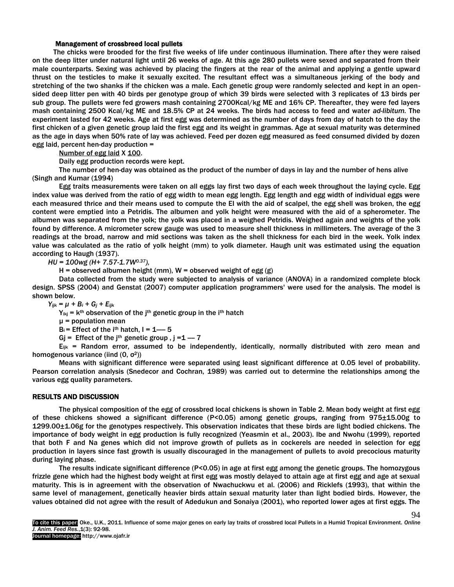#### Management of crossbreed local pullets

The chicks were brooded for the first five weeks of life under continuous illumination. There after they were raised on the deep litter under natural light until 26 weeks of age. At this age 280 pullets were sexed and separated from their male counterparts. Sexing was achieved by placing the fingers at the rear of the animal and applying a gentle upward thrust on the testicles to make it sexually excited. The resultant effect was a simultaneous jerking of the body and stretching of the two shanks if the chicken was a male. Each genetic group were randomly selected and kept in an opensided deep litter pen with 40 birds per genotype group of which 39 birds were selected with 3 replicates of 13 birds per sub group. The pullets were fed growers mash containing 2700Kcal/kg ME and 16% CP. Thereafter, they were fed layers mash containing 2500 Kcal/kg ME and 18.5% CP at 24 weeks. The birds had access to feed and water *ad-libitum.* The experiment lasted for 42 weeks. Age at first egg was determined as the number of days from day of hatch to the day the first chicken of a given genetic group laid the first egg and its weight in grammas. Age at sexual maturity was determined as the age in days when 50% rate of lay was achieved. Feed per dozen egg measured as feed consumed divided by dozen egg laid, percent hen-day production =

Number of egg laid X 100.

Daily egg production records were kept.

The number of hen-day was obtained as the product of the number of days in lay and the number of hens alive (Singh and Kumar (1994)

Egg traits measurements were taken on all eggs lay first two days of each week throughout the laying cycle. Egg index value was derived from the ratio of egg width to mean egg length. Egg length and egg width of individual eggs were each measured thrice and their means used to compute the EI with the aid of scalpel, the egg shell was broken, the egg content were emptied into a Petridis. The albumen and yolk height were measured with the aid of a spherometer. The albumen was separated from the yolk; the yolk was placed in a weighed Petridis. Weighed again and weights of the yolk found by difference. A micrometer screw gauge was used to measure shell thickness in millimeters. The average of the 3 readings at the broad, narrow and mid sections was taken as the shell thickness for each bird in the week. Yolk index value was calculated as the ratio of yolk height (mm) to yolk diameter. Haugh unit was estimated using the equation according to Haugh (1937).

*HU = 100wg (H+ 7.57-1.7W0.37),* 

H = observed albumen height (mm),  $W =$  observed weight of egg (g)

Data collected from the study were subjected to analysis of variance (ANOVA) in a randomized complete block design. SPSS (2004) and Genstat (2007) computer application programmers' were used for the analysis. The model is shown below.

*Yijk = µ + B<sup>i</sup> + G<sup>j</sup> + Eijk*

 $Y_{ikj}$  =  $K^{th}$  observation of the j<sup>th</sup> genetic group in the i<sup>th</sup> hatch

 $\mu$  = population mean

 $B_i$  = Effect of the i<sup>th</sup> hatch,  $I = 1$ — 5

Gj = Effect of the j<sup>th</sup> genetic group,  $j = 1 - 7$ 

 $E_{ijk}$  = Random error, assumed to be independently, identically, normally distributed with zero mean and homogenous variance (iind  $(0, \sigma^2)$ )

Means with significant difference were separated using least significant difference at 0.05 level of probability. Pearson correlation analysis (Snedecor and Cochran, 1989) was carried out to determine the relationships among the various egg quality parameters.

## RESULTS AND DISCUSSION

The physical composition of the egg of crossbred local chickens is shown in Table 2. Mean body weight at first egg of these chickens showed a significant difference (P<0.05) among genetic groups, ranging from 975±15.00g to 1299.00±1.06g for the genotypes respectively. This observation indicates that these birds are light bodied chickens. The importance of body weight in egg production is fully recognized (Yeasmin et al., 2003). Ibe and Nwohu (1999), reported that both F and Na genes which did not improve growth of pullets as in cockerels are needed in selection for egg production in layers since fast growth is usually discouraged in the management of pullets to avoid precocious maturity during laying phase.

The results indicate significant difference (P<0.05) in age at first egg among the genetic groups. The homozygous frizzle gene which had the highest body weight at first egg was mostly delayed to attain age at first egg and age at sexual maturity. This is in agreement with the observation of Nwachuckwu et al. (2006) and Ricklefs (1993), that within the same level of management, genetically heavier birds attain sexual maturity later than light bodied birds. However, the values obtained did not agree with the result of Adedukun and Sonaiya (2001), who reported lower ages at first eggs. The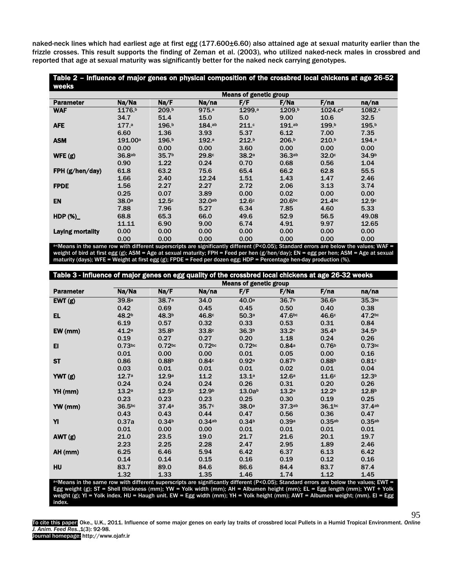naked-neck lines which had earliest age at first egg (177.600±6.60) also attained age at sexual maturity earlier than the frizzle crosses. This result supports the finding of Zeman et al. (2003), who utilized naked-neck males in crossbred and reported that age at sexual maturity was significantly better for the naked neck carrying genotypes.

| Table 2 - Influence of major genes on physical composition of the crossbred local chickens at age 26-52<br>weeks |                               |                   |                  |                   |                    |                     |                   |  |
|------------------------------------------------------------------------------------------------------------------|-------------------------------|-------------------|------------------|-------------------|--------------------|---------------------|-------------------|--|
|                                                                                                                  | <b>Means of genetic group</b> |                   |                  |                   |                    |                     |                   |  |
| <b>Parameter</b>                                                                                                 | Na/Na                         | Na/F              | Na/na            | F/F               | F/Na               | F/na                | na/na             |  |
| <b>WAF</b>                                                                                                       | 1176.b                        | 209.b             | 975 <sup>a</sup> | 1299.ª            | 1209.b             | 1024.c <sup>d</sup> | 1082.c            |  |
|                                                                                                                  | 34.7                          | 51.4              | 15.0             | 5.0               | 9.00               | 10.6                | 32.5              |  |
| <b>AFE</b>                                                                                                       | 177 <sub>a</sub>              | 196.b             | 184.ab           | 211c              | $191$ .ab          | 199.b               | 195.b             |  |
|                                                                                                                  | 6.60                          | 1.36              | 3.93             | 5.37              | 6.12               | 7.00                | 7.35              |  |
| <b>ASM</b>                                                                                                       | 191.00a                       | 196 <sup>b</sup>  | 192 <sup>a</sup> | 212 <sup>b</sup>  | 206 <sup>b</sup>   | 210 <sup>b</sup>    | 194 <sup>a</sup>  |  |
|                                                                                                                  | 0.00                          | 0.00              | 0.00             | 3.60              | 0.00               | 0.00                | 0.00              |  |
| WFE(g)                                                                                                           | 36.8ab                        | 35.7 <sup>b</sup> | 29.8c            | 38.2a             | 36.3ab             | 32.0 <sup>c</sup>   | 34.9 <sup>b</sup> |  |
|                                                                                                                  | 0.90                          | 1.22              | 0.24             | 0.70              | 0.68               | 0.56                | 1.04              |  |
| FPH(g/hen/day)                                                                                                   | 61.8                          | 63.2              | 75.6             | 65.4              | 66.2               | 62.8                | 55.5              |  |
|                                                                                                                  | 1.66                          | 2.40              | 12.24            | 1.51              | 1.43               | 1.47                | 2.46              |  |
| <b>FPDE</b>                                                                                                      | 1.56                          | 2.27              | 2.27             | 2.72              | 2.06               | 3.13                | 3.74              |  |
|                                                                                                                  | 0.25                          | 0.07              | 3.89             | 0.00              | 0.02               | 0.00                | 0.00              |  |
| <b>EN</b>                                                                                                        | 38.0 <sup>a</sup>             | 12.5 <sup>c</sup> | 32.0ab           | 12.6 <sup>c</sup> | 20.6 <sub>bc</sub> | 21.4 <sub>bc</sub>  | 12.9 <sup>c</sup> |  |
|                                                                                                                  | 7.88                          | 7.96              | 5.27             | 6.34              | 7.85               | 4.60                | 5.33              |  |
| HDP $(\%)$                                                                                                       | 68.8                          | 65.3              | 66.0             | 49.6              | 52.9               | 56.5                | 49.08             |  |
|                                                                                                                  | 11.11                         | 6.90              | 9.00             | 6.74              | 4.91               | 9.97                | 12.65             |  |
| <b>Laying mortality</b>                                                                                          | 0.00                          | 0.00              | 0.00             | 0.00              | 0.00               | 0.00                | 0.00              |  |
|                                                                                                                  | 0.00                          | 0.00              | 0.00             | 0.00              | 0.00               | 0.00                | 0.00              |  |

a-cMeans in the same row with different superscripts are significantly different (P<0.05); Standard errors are below the values; WAF = weight of bird at first egg (g); ASM = Age at sexual maturity; FPH = Feed per hen (g/hen/day); EN = egg per hen; ASM = Age at sexual maturity (days); WFE = Weight at first egg (g); FPDE = Feed per dozen egg; HDP = Percentage hen-day production (%).

| Table 3 - Influence of major genes on egg quality of the crossbred local chickens at age 26-32 weeks                                   |                    |                               |                   |                    |                    |                    |                   |  |  |
|----------------------------------------------------------------------------------------------------------------------------------------|--------------------|-------------------------------|-------------------|--------------------|--------------------|--------------------|-------------------|--|--|
|                                                                                                                                        |                    | <b>Means of genetic group</b> |                   |                    |                    |                    |                   |  |  |
| <b>Parameter</b>                                                                                                                       | Na/Na              | Na/F                          | Na/na             | F/F                | F/Na               | F/na               | na/na             |  |  |
| EWT(g)                                                                                                                                 | 39.8 <sup>a</sup>  | 38.7 <sup>a</sup>             | 34.0              | 40.0 <sup>a</sup>  | 36.7 <sup>b</sup>  | 36.6 <sup>b</sup>  | 35.3bc            |  |  |
|                                                                                                                                        | 0.42               | 0.69                          | 0.45              | 0.45               | 0.50               | 0.40               | 0.38              |  |  |
| EL.                                                                                                                                    | 48.2 <sup>b</sup>  | 48.3 <sup>b</sup>             | 46.8c             | 50.3a              | 47.6bc             | 46.6c              | 47.2bc            |  |  |
|                                                                                                                                        | 6.19               | 0.57                          | 0.32              | 0.33               | 0.53               | 0.31               | 0.84              |  |  |
| EW (mm)                                                                                                                                | 41.2 <sup>a</sup>  | 35.8 <sup>b</sup>             | 33.8 <sup>c</sup> | 36.3 <sup>b</sup>  | 33.2 <sup>c</sup>  | 35.4 <sup>b</sup>  | 34.5 <sup>b</sup> |  |  |
|                                                                                                                                        | 0.19               | 0.27                          | 0.27              | 0.20               | 1.18               | 0.24               | 0.26              |  |  |
| EI                                                                                                                                     | $0.73$ bc          | $0.72$ bc                     | $0.72$ bc         | $0.72$ bc          | 0.84a              | 0.76 <sup>b</sup>  | $0.73$ bc         |  |  |
|                                                                                                                                        | 0.01               | 0.00                          | 0.00              | 0.01               | 0.05               | 0.00               | 0.16              |  |  |
| <b>ST</b>                                                                                                                              | 0.86               | 0.88 <sup>b</sup>             | 0.84c             | 0.92a              | 0.87 <sup>b</sup>  | 0.88 <sup>b</sup>  | 0.81c             |  |  |
|                                                                                                                                        | 0.03               | 0.01                          | 0.01              | 0.01               | 0.02               | 0.01               | 0.04              |  |  |
| YWT(g)                                                                                                                                 | 12.7 <sup>a</sup>  | 12.9 <sup>a</sup>             | 11.2              | 13.1a              | 12.6 <sup>a</sup>  | 11.6 <sup>c</sup>  | 12.3 <sup>b</sup> |  |  |
|                                                                                                                                        | 0.24               | 0.24                          | 0.24              | 0.26               | 0.31               | 0.20               | 0.26              |  |  |
| YH (mm)                                                                                                                                | 13.2 <sup>a</sup>  | 12.5 <sup>b</sup>             | 12.9 <sup>b</sup> | 13.0a <sup>b</sup> | 13.2 <sup>a</sup>  | 12.2 <sup>b</sup>  | 12.8 <sup>b</sup> |  |  |
|                                                                                                                                        | 0.23               | 0.23                          | 0.23              | 0.25               | 0.30               | 0.19               | 0.25              |  |  |
| YW (mm)                                                                                                                                | 36.5 <sub>bc</sub> | 37.4a                         | 35.7 <sup>c</sup> | 38.0 <sup>a</sup>  | 37.3 <sub>ab</sub> | 36.1 <sup>bc</sup> | 37.4ab            |  |  |
|                                                                                                                                        | 0.43               | 0.43                          | 0.44              | 0.47               | 0.56               | 0.36               | 0.47              |  |  |
| YI                                                                                                                                     | 0.37a              | 0.34 <sup>b</sup>             | 0.34ab            | 0.34 <sup>b</sup>  | 0.39a              | 0.35a <sub>b</sub> | 0.35ab            |  |  |
|                                                                                                                                        | 0.01               | 0.00                          | 0.00              | 0.01               | 0.01               | 0.01               | 0.01              |  |  |
| AWT (g)                                                                                                                                | 21.0               | 23.5                          | 19.0              | 21.7               | 21.6               | 20.1               | 19.7              |  |  |
|                                                                                                                                        | 2.23               | 2.25                          | 2.28              | 2.47               | 2.95               | 1.89               | 2.46              |  |  |
| AH (mm)                                                                                                                                | 6.25               | 6.46                          | 5.94              | 6.42               | 6.37               | 6.13               | 6.42              |  |  |
|                                                                                                                                        | 0.14               | 0.14                          | 0.15              | 0.16               | 0.19               | 0.12               | 0.16              |  |  |
| HU                                                                                                                                     | 83.7               | 89.0                          | 84.6              | 86.6               | 84.4               | 83.7               | 87.4              |  |  |
|                                                                                                                                        | 1.32               | 1.33                          | 1.35              | 1.46               | 1.74               | 1.12               | 1.45              |  |  |
| a-cMeans in the same row with different superscripts are significantly different (P<0.05); Standard errors are below the values; EWT = |                    |                               |                   |                    |                    |                    |                   |  |  |

Egg weight (g); ST = Shell thickness (mm); YW = Yolk width (mm); AH = Albumen height (mm); EL = Egg length (mm); YWT + Yolk weight (g); YI = Yolk index. HU = Haugh unit. EW = Egg width (mm); YH = Yolk height (mm); AWT = Albumen weight; (mm). EI = Egg index.

To cite this paper: Oke., U.K., 2011. Influence of some major genes on early lay traits of crossbred local Pullets in a Humid Tropical Environment. *Online J. Anim. Feed Res.*,1(3): 92-98. Journal homepage: http://www.ojafr.ir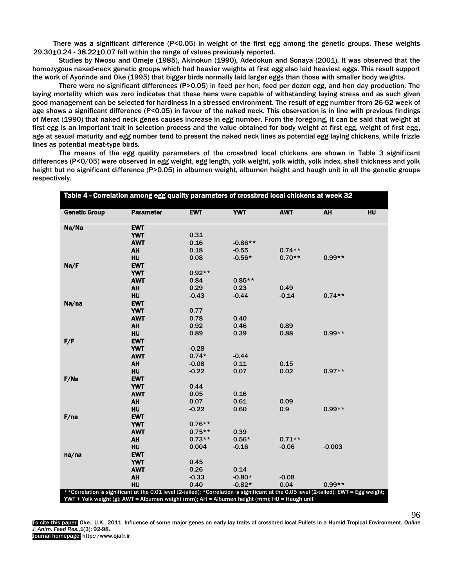There was a significant difference (P<0.05) in weight of the first egg among the genetic groups. These weights 29.30±0.24 - 38.22±0.07 fall within the range of values previously reported.

Studies by Nwosu and Omeje (1985), Akinokun (1990), Adedokun and Sonaya (2001). It was observed that the homozygous naked-neck genetic groups which had heavier weights at first egg also laid heaviest eggs. This result support the work of Ayorinde and Oke (1995) that bigger birds normally laid larger eggs than those with smaller body weights.

There were no significant differences (P>0.05) in feed per hen, feed per dozen egg, and hen day production. The laying mortality which was zero indicates that these hens were capable of withstanding laying stress and as such given good management can be selected for hardiness in a stressed environment. The result of egg number from 26-52 week of age shows a significant difference (P<0.05) in favour of the naked neck. This observation is in line with previous findings of Merat (1990) that naked neck genes causes increase in egg number. From the foregoing, it can be said that weight at first egg is an important trait in selection process and the value obtained for body weight at first egg, weight of first egg, age at sexual maturity and egg number tend to present the naked neck lines as potential egg laying chickens, while frizzle lines as potential meat-type birds.

The means of the egg quality parameters of the crossbred local chickens are shown in Table 3 significant differences (P<0/05) were observed in egg weight, egg length, yolk weight, yolk width, yolk index, shell thickness and yolk height but no significant difference (P>0.05) in albumen weight, albumen height and haugh unit in all the genetic groups respectively.

| Table 4 - Correlation among egg quality parameters of crossbred local chickens at week 32   |                                                                                                                                         |            |            |            |           |    |  |
|---------------------------------------------------------------------------------------------|-----------------------------------------------------------------------------------------------------------------------------------------|------------|------------|------------|-----------|----|--|
| <b>Genetic Group</b>                                                                        | <b>Parameter</b>                                                                                                                        | <b>EWT</b> | <b>YWT</b> | <b>AWT</b> | <b>AH</b> | HU |  |
| Na/Na                                                                                       | <b>EWT</b>                                                                                                                              |            |            |            |           |    |  |
|                                                                                             | <b>YWT</b>                                                                                                                              | 0.31       |            |            |           |    |  |
|                                                                                             | <b>AWT</b>                                                                                                                              | 0.16       | $-0.86**$  |            |           |    |  |
|                                                                                             | <b>AH</b>                                                                                                                               | 0.18       | $-0.55$    | $0.74**$   |           |    |  |
|                                                                                             | HU                                                                                                                                      | 0.08       | $-0.56*$   | $0.70**$   | $0.99**$  |    |  |
| Na/F                                                                                        | <b>EWT</b>                                                                                                                              |            |            |            |           |    |  |
|                                                                                             | <b>YWT</b>                                                                                                                              | $0.92**$   |            |            |           |    |  |
|                                                                                             | <b>AWT</b>                                                                                                                              | 0.84       | $0.85**$   |            |           |    |  |
|                                                                                             | <b>AH</b>                                                                                                                               | 0.29       | 0.23       | 0.49       |           |    |  |
|                                                                                             | HU                                                                                                                                      | $-0.43$    | $-0.44$    | $-0.14$    | $0.74**$  |    |  |
| Na/na                                                                                       | <b>EWT</b>                                                                                                                              |            |            |            |           |    |  |
|                                                                                             | <b>YWT</b>                                                                                                                              | 0.77       |            |            |           |    |  |
|                                                                                             | <b>AWT</b>                                                                                                                              | 0.78       | 0.40       |            |           |    |  |
|                                                                                             | <b>AH</b>                                                                                                                               | 0.92       | 0.46       | 0.89       |           |    |  |
|                                                                                             | HU                                                                                                                                      | 0.89       | 0.39       | 0.88       | $0.99**$  |    |  |
| F/F                                                                                         | <b>EWT</b>                                                                                                                              |            |            |            |           |    |  |
|                                                                                             | <b>YWT</b>                                                                                                                              | $-0.28$    |            |            |           |    |  |
|                                                                                             | <b>AWT</b>                                                                                                                              | $0.74*$    | $-0.44$    |            |           |    |  |
|                                                                                             | <b>AH</b>                                                                                                                               | $-0.08$    | 0.11       | 0.15       |           |    |  |
|                                                                                             | <b>HU</b>                                                                                                                               | $-0.22$    | 0.07       | 0.02       | $0.97**$  |    |  |
| F/Na                                                                                        | <b>EWT</b>                                                                                                                              |            |            |            |           |    |  |
|                                                                                             | <b>YWT</b>                                                                                                                              | 0.44       |            |            |           |    |  |
|                                                                                             | <b>AWT</b>                                                                                                                              | 0.05       | 0.16       |            |           |    |  |
|                                                                                             | <b>AH</b>                                                                                                                               | 0.07       | 0.61       | 0.09       |           |    |  |
|                                                                                             | HU                                                                                                                                      | $-0.22$    | 0.60       | 0.9        | $0.99**$  |    |  |
| F/na                                                                                        | <b>EWT</b>                                                                                                                              |            |            |            |           |    |  |
|                                                                                             | <b>YWT</b>                                                                                                                              | $0.76**$   |            |            |           |    |  |
|                                                                                             | <b>AWT</b>                                                                                                                              | $0.75**$   | 0.39       |            |           |    |  |
|                                                                                             | <b>AH</b>                                                                                                                               | $0.73**$   | $0.56*$    | $0.71**$   |           |    |  |
|                                                                                             | HU                                                                                                                                      | 0.004      | $-0.16$    | $-0.06$    | $-0.003$  |    |  |
| na/na                                                                                       | <b>EWT</b>                                                                                                                              |            |            |            |           |    |  |
|                                                                                             | <b>YWT</b>                                                                                                                              | 0.45       |            |            |           |    |  |
|                                                                                             | <b>AWT</b>                                                                                                                              | 0.26       | 0.14       |            |           |    |  |
|                                                                                             | <b>AH</b>                                                                                                                               | $-0.33$    | $-0.80*$   | $-0.08$    |           |    |  |
|                                                                                             | HU                                                                                                                                      | 0.40       | $-0.82*$   | 0.04       | $0.99**$  |    |  |
|                                                                                             | ** Correlation is significant at the 0.01 level (2-tailed); *Correlation is significant at the 0.05 level (2-tailed); EWT = Egg weight; |            |            |            |           |    |  |
| YWT + Yolk weight (g); AWT = Albumen weight (mm); AH = Albumen height (mm); HU = Haugh unit |                                                                                                                                         |            |            |            |           |    |  |

To cite this paper: Oke., U.K., 2011. Influence of some major genes on early lay traits of crossbred local Pullets in a Humid Tropical Environment. *Online J. Anim. Feed Res.*,1(3): 92-98. Journal homepage: http://www.ojafr.ir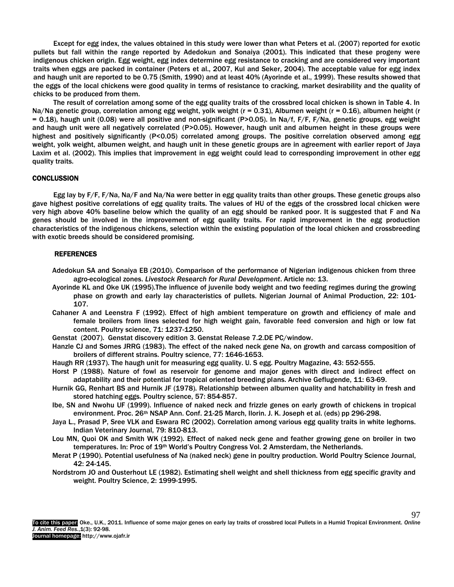Except for egg index, the values obtained in this study were lower than what Peters et al. (2007) reported for exotic pullets but fall within the range reported by Adedokun and Sonaiya (2001). This indicated that these progeny were indigenous chicken origin. Egg weight, egg index determine egg resistance to cracking and are considered very important traits when eggs are packed in container (Peters et al., 2007, Kul and Seker, 2004). The acceptable value for egg index and haugh unit are reported to be 0.75 (Smith, 1990) and at least 40% (Ayorinde et al., 1999). These results showed that the eggs of the local chickens were good quality in terms of resistance to cracking, market desirability and the quality of chicks to be produced from them.

The result of correlation among some of the egg quality traits of the crossbred local chicken is shown in Table 4. In Na/Na genetic group, correlation among egg weight, yolk weight ( $r = 0.31$ ), Albumen weight ( $r = 0.16$ ), albumen height ( $r = 0.16$ ) = 0.18), haugh unit (0.08) were all positive and non-significant (P>0.05). In Na/f, F/F, F/Na, genetic groups, egg weight and haugh unit were all negatively correlated (P>0.05). However, haugh unit and albumen height in these groups were highest and positively significantly (P<0.05) correlated among groups. The positive correlation observed among egg weight, yolk weight, albumen weight, and haugh unit in these genetic groups are in agreement with earlier report of Jaya Laxim et al. (2002). This implies that improvement in egg weight could lead to corresponding improvement in other egg quality traits.

#### **CONCLUSSION**

Egg lay by F/F, F/Na, Na/F and Na/Na were better in egg quality traits than other groups. These genetic groups also gave highest positive correlations of egg quality traits. The values of HU of the eggs of the crossbred local chicken were very high above 40% baseline below which the quality of an egg should be ranked poor. It is suggested that F and Na genes should be involved in the improvement of egg quality traits. For rapid improvement in the egg production characteristics of the indigenous chickens, selection within the existing population of the local chicken and crossbreeding with exotic breeds should be considered promising.

#### REFERENCES

- Adedokun SA and Sonaiya EB (2010). Comparison of the performance of Nigerian indigenous chicken from three agro-ecological zones. *Livestock Research for Rural Development*. Article no: 13.
- Ayorinde KL and Oke UK (1995).The influence of juvenile body weight and two feeding regimes during the growing phase on growth and early lay characteristics of pullets. Nigerian Journal of Animal Production, 22: 101- 107.
- Cahaner A and Leenstra F (1992). Effect of high ambient temperature on growth and efficiency of male and female broilers from lines selected for high weight gain, favorable feed conversion and high or low fat content. Poultry science, 71: 1237-1250.
- Genstat (2007). Genstat discovery edition 3. Genstat Release 7.2.DE PC/window.
- Hanzle CJ and Somes JRRG (1983). The effect of the naked neck gene Na, on growth and carcass composition of broilers of different strains. Poultry science, 77: 1646-1653.
- Haugh RR (1937). The haugh unit for measuring egg quality. U. S egg. Poultry Magazine, 43: 552-555.
- Horst P (1988). Nature of fowl as reservoir for genome and major genes with direct and indirect effect on adaptability and their potential for tropical oriented breeding plans. Archive Geflugende, 11: 63-69.
- Hurnik GG, Renhart BS and Hurnik JF (1978). Relationship between albumen quality and hatchability in fresh and stored hatching eggs. Poultry science, 57: 854-857.
- Ibe, SN and Nwohu UF (1999). Influence of naked neck and frizzle genes on early growth of chickens in tropical environment. Proc. 26<sup>th</sup> NSAP Ann. Conf. 21-25 March, Ilorin. J. K. Joseph et al. (eds) pp 296-298.
- Jaya L., Prasad P, Sree VLK and Eswara RC (2002). Correlation among various egg quality traits in white leghorns. Indian Veterinary Journal, 79: 810-813.
- Lou MN, Quoi OK and Smith WK (1992). Effect of naked neck gene and feather growing gene on broiler in two temperatures. In: Proc of 19<sup>th</sup> World's Poultry Congress Vol. 2 Amsterdam, the Netherlands.
- Merat P (1990). Potential usefulness of Na (naked neck) gene in poultry production. World Poultry Science Journal, 42: 24-145.
- Nordstrom JO and Ousterhout LE (1982). Estimating shell weight and shell thickness from egg specific gravity and weight. Poultry Science, 2: 1999-1995.